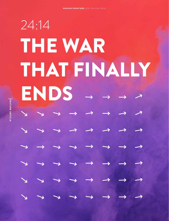# THE WAR THAT FINALLY ENDS - -24:14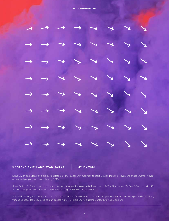

| BY STEVE SMITH AND STAN PARKS | <b>2414NOW.NET</b> |
|-------------------------------|--------------------|
|                               |                    |

Steve Smith and Stan Parks are co-facilitators of the global 2414 Coalition to start Church Planting Movement engagements in every unreached people group and place by 2025.

Steve Smith (Th.D.) was part of a church planting movement in Asia. He is the author of *T4T: A Discipleship Re-Revolution* with Ying Kai and *Hastening* and *Rebirth* in the "No Place Left" saga. SteveSmithBooks.com.

Stan Parks (Ph.D.) is a trainer and coach for a wide variety of CPMs around the world. As part of the Ethne leadership team he is helping various Ephesus teams seeking to start cascading CPMs in large UPG clusters. Contact: stan@beyond.org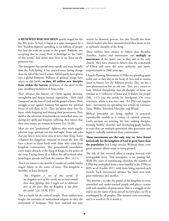**A RENEWED WAR HAS BEEN** quietly waged for the last 30+ years. At first, it began as a quiet insurgence by a few "freedom fighters" unwilling to see billions of people live and die with no access to the gospel. Radicals, not accepting that so many lived in bondage to the "ruler of this world," laid down their lives to see Jesus set the prisoners free.

This insurgence has spread more rapidly and more broadly than the Arab Spring. It has enacted more lasting change than the fall of the Iron Curtain. Initial sparks have grown into a global firestorm. Millions of spiritual troops have arisen in this battle: **to date, 49 million new disciples from within the harvest**; prisoners of the devil in the past, steadfast proclaimers of Jesus today.

They advance the banner of Christ against demonic strongholds and despite human opposition. Their chief "weapons" are the love of God and the gospel of Jesus. Their struggle is not against humans but against the spiritual forces of evil (Eph. 6:12). They lay down their lives for Jesus, while forgiving and blessing their persecutors. They thrill at the salvation of multitudes in unreached areas, yet during dry spells and frequent suffering, they rejoice that their own names are written in heaven (Lk. 10:20).

Most are not "professional" fighters; they work regular jobs but wage spiritual war day and night. Some take jobs that pay less to have more time to serve their King. Some volunteer for dangerous missions to rescue the lost. All have a heart to share freely with those who enter their kingdom communities. This groundswell overwhelms every major obstacle to the King of Kings, by the power of the cross. Laying down all to follow the call to finish what Jesus began spreads and fuels the mission (Rev. 12:11).

This is no return to the horrific Crusades of earthly battles waged falsely in the name of Jesus. This kingdom is invisible, as Jesus declared:

*"My kingdom is not of this world. If my kingdom were of this world, my servants would have been fighting, that I might not be delivered over to the Jews. But my kingdom is not from the world." (Jn. 18:36, ESV)*

This is a battle for the souls of people. These soldiers have fought the restraints of institutional religion to obey the commands of Scripture. They have endured not only attacks by demonic powers, but also friendly fire from church leaders who have misunderstood their desire to live as authentic disciples of the King.

These soldiers have chosen to believe that disciples, churches, leaders and movements can **multiply as movements** of the Spirit, just as they did in the early church. They have chosen to believe that the commands of Christ still carry the same authority and Spiritempowerment as 2000 years ago.

Church-Planting Movements (CPMs) are spreading again today just as they did in the book of Acts and at various times in history (see the Addison article). They are not a new phenomenon but an old one. They are a return to basic biblical discipleship that all disciples of Jesus can emulate as 1) followers of Jesus and 2) fishers for people (Mk. 1:17) (see the article by Snodgrass). On every continent, where it was once said, "A CPM can't happen here," movements are spreading (see articles by Garrison, Tasse, Walker, Yehezkiel, Marcelin, and Wood).

Biblical principles are being applied in practical, reproducible models in a variety of cultural contexts. God's servants are winning the lost, making disciples, forming healthy churches and developing godly leaders, in ways that can multiply generation after generation and begin to radically transform their communities.

**These movements are the only way we have found historically for the kingdom of God to grow faster than the population** (see Long's article). Without them, even good ministry efforts result in *losing* ground.

The tide of this renewed effort is surging forward with unstoppable force. This insurgence is no passing fad. With 20+ years of reproducing churches, the number of CPMs has multiplied from a mere handful in the 1990s to 609+ as of October 2017, with more being reported each month. Each movement's advance has been won with great endurance and sacrifice.

This mission—to take the gospel of the kingdom to every unreached and under-reached people and place—comes with real casualties of persecution. This is a struggle to the end to see the name of Jesus prevail in every place, so He is worshipped by all peoples. This mission costs everything, and it is worth it! *He* is worth it.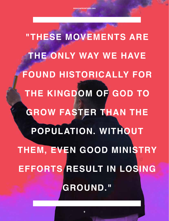**"THESE MOVEMENTS ARE THE ONLY WAY WE HAVE FOUND HISTORICALLY FOR THE KINGDOM OF GOD TO GROW FASTER THAN THE POPULATION. WITHOUT THEM, EVEN GOOD MINISTRY EFFORTS RESULT IN LOSING GROUND."**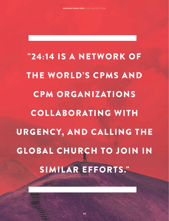"24:14 IS A NETWORK OF THE WORLD'S CPMS AND CPM ORGANIZATIONS COLL ABORATING WITH URGENCY, AND CALLING THE GLOBAL CHURCH TO JOIN IN SIMILAR EFFORTS."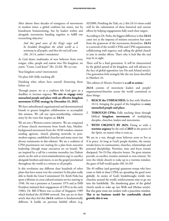After almost three decades of resurgence of movements in modern times, a global coalition has arisen, not by boardroom brainstorming, but by leaders within and alongside movements banding together to fulfill one overarching objective:

*And this good news of the King's reign will be heralded throughout the whole world as a testimony to all peoples, and then the end will come. (Mt. 24:14, author's translation)*

As God draws multitudes of new believers from every tongue, tribe, people and nation into His kingdom, we yearn: "Come, Lord Jesus!" (Rv. 22:20). We cry out:

Your kingdom come! (movements)

No place left! (fully reaching all)

Finishing what others have started! (honoring those before us)

Through prayer, we as a coalition felt God gave us a deadline to increase urgency: **We aim to engage every unreached people and place with an effective kingdom movement (CPM) strategy by December 31, 2025.** 

We have subordinated organizational and denominational brands to greater kingdom collaboration to accomplish this mission. We call our open-membership, volunteer army by the verse that inspires us: **24:14**.

We are not a Western-centric initiative. We are composed of house church movements from South Asia, Muslimbackground movements from the 10/40 window, mission sending agencies, church planting networks in postmodern regions, established churches and many more (see diverse testimonies in this edition). We are a coalition of CPM practitioners not waiting for a plan from executive leadership (though many executives are on board). We are inspired by a call for a wartime mentality (see Dubois article on the web at www.missionfrontiers.org) to sacrifice alongside brothers and sisters, to see the gospel proclaimed throughout the world as a witness to all peoples.

Is this revolution any different than hundreds of other plans that have arisen over the centuries? Is this plan really able to finish the Great Commission? Dr. Keith Parks has spent a lifetime in cross-cultural mission service starting in 1948. He was a presenter at Lausanne 1974 and as IMB President initiated their engagement of UPGs in the early 1980's. Dr. Bill O'Brien was co-chair of Singapore 1989 which birthed the AD2000 network. You can see in their article that they feel this **24:14** coalition is fundamentally different. It builds on previous faithful efforts (e.g. AD2000, Finishing the Task, etc.); this 24:14 vision could well be the culmination of these historical and current efforts by helping engagements fully reach their targets.

According to Dr. Parks, the biggest difference is that **24:14** came not at the impetus of mission executives but came from the grassroots of the movements themselves. **24:14** is a network of the world's CPMs and CPM organizations collaborating with urgency, and calling the global church to join in similar efforts. That's why it feels like the end may be in sight.

There *will* be a final generation. It will be characterized by the global spread of the kingdom, and will advance in the face of global opposition (see Ho and Arlund article). Our generation feels strangely like the one Jesus described in Matthew 24.

This edition of *Mission Frontiers* is **a call to action.**<sup>1</sup>

**24:14** consists of movement leaders and people/ organizations/churches across the world committed to three things:

- 1. **REACH the UNREACHED:** In line with Matthew 24:14, bringing the gospel of the kingdom to **every unreached people and place.**
- 2. **THROUGH CPMs:** Fully reaching them through biblical **kingdom movements** of multiplying disciples, churches, leaders and movements.
- 3. **WITH URGENCY BY 2025:** Doing so with a **wartime urgency** by the end of **2025** in the power of the Spirit, no matter what it costs us.

We are in a war, though most believers seem to live as if in peace. As long as God's people slumber, the enemy wreaks havoc in communities, churches, relationships and personal discipleship. Priorities, time and focus remain dissipated. No D-Day objective looms. No great mission prevails, so sacrifice remains minimal or non-existent. Yet were the whole church to wake up to a wartime mindset, the gates of hell would quake (Mt 16:18)!

The 49 million (and growing) grassroots troops who have come to faith in these CPMs are spreading the good news globally. As stories of God's breakthroughs trickle into churches around the world, reinforcements arise to go out into the battlefields. The slumbering giant of the global church needs to wake up (see Wells and Mickan article). But this giant must not awaken with a peacetime mindset. **This is no business model for comfortable church growth; this is war.**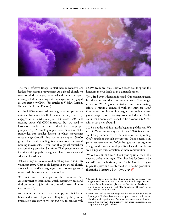

The most effective troops to start new movements are leaders from existing movements. As a global church we need to prioritize prayer, personnel and funds to support existing CPMs in sending out messengers to unengaged areas to start new CPMs. (See articles by V. John, Larson, Kumar, Harold and Dubois.)

Of the 8,800+ unreached people groups and places, we estimate that about 2,500 of them are already effectively engaged with CPM strategies. That leaves 6,300 still needing purposeful CPM initiatives. But we need to look more closely than the macro-level of a major people group or city. A people group of one million must be subdivided into smaller districts in which movements must emerge. Globally, that may be as many as 130,000 geographical and ethnolinguistic segments of the world needing movements. As you read this, global researchers are compiling sensitive data from CPM practitioners to identify which population segments have movements and which still need them.

Which brings us to you. God is calling *you* to join this volunteer army. What could happen if the global church arose with a sacrificial eight-year push to engage every unreached place with a movement of God?

We invite you to be a part of the revolution. See 2414now.net to learn more, watch inspiring videos and find on-ramps to join this wartime effort (see "How to Get Involved").

Are you unsure how to start multiplying disciples at home and abroad? If you are willing to pay the price in preparation and service, we can put you in contact with a CPM team near you. They can coach you to spread the kingdom in your locale or in a distant location.

The **24:14** army is lean and focused. Our organizing team is a skeleton crew that can use volunteers. The budget needs for **24:14** global initiatives and coordinating efforts is minimal compared with the immense task.<sup>2</sup> Our prayer coordination is emerging but needs a fervent global prayer push. Country, zone and district **24:14** volunteer stewards are needed to help coordinate CPM efforts; vacancies abound.

2025 is not the end. It is just the beginning of the end. We need CPM teams in every one of these 130,000 segments sacrificially committed to the war effort of spreading God's kingdom through movements. Once a team is in place (between now and 2025) the fight has just begun to evangelize the lost and multiply disciples and churches to see a kingdom transformation of those communities.

We can see an end to a 2,000 year spiritual war. The enemy's defeat is in sight. "No place left for Jesus to be named" is on the horizon (Rm. 15:23). God is asking us to pay the price and deeply sacrifice to be the generation that fulfills Matthew 24:14. *Are you in?*

<sup>&</sup>lt;sup>1</sup> To get a better context for this edition, we invite you to read "The Beginning of the End?" The Launch of 24:14, in the Sept-Oct 2017 edition. To understand our place in the Genesis 1 to Revelation 22 storyline, we invite you to read "The Storyline of History" in the Nov-Dec 2017 edition of *MF*.

<sup>2</sup> Most 24:14 efforts are not supported by outside funds. Outside funding for CPM catalyzation, and support comes via individuals, churches and organizations. Yet there are some central funding needs. **See www.2414now.net/give** for more information on supporting 24:14 global efforts.